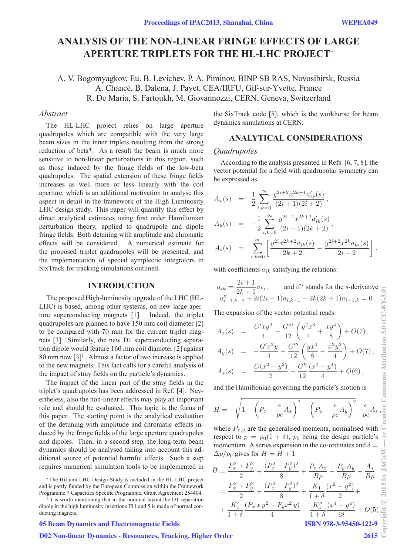# **ANALYSIS OF THE NON-LINEAR FRINGE EFFECTS OF LARGE APERTURE TRIPLETS FOR THE HL-LHC PROJECT**<sup>∗</sup>

A. V. Bogomyagkov, Eu. B. Levichev, P. A. Piminov, BINP SB RAS, Novosibirsk, Russia A. Chancé, B. Dalena, J. Payet, CEA/IRFU, Gif-sur-Yvette, France R. De Maria, S. Fartoukh, M. Giovannozzi, CERN, Geneva, Switzerland

# *Abstract*

The HL-LHC project relies on large aperture quadrupoles which are compatible with the very large beam sizes in the inner triplets resulting from the strong reduction of beta\*. As a result the beam is much more sensitive to non-linear perturbations in this region, such as those induced by the fringe fields of the low-beta quadrupoles. The spatial extension of these fringe fields increases as well more or less linearly with the coil aperture, which is an additional motivation to analyse this aspect in detail in the framework of the High Luminosity LHC design study. This paper will quantify this effect by direct analytical estimates using first order Hamiltonian perturbation theory, applied to quadrupole and dipole fringe fields. Both detuning with amplitude and chromatic effects will be considered. A numerical estimate for the proposed triplet quadrupoles will be presented, and the implementation of special symplectic integrators in SixTrack for tracking simulations outlined.

#### **INTRODUCTION**

The proposed High-luminosity upgrade of the LHC (HL-LHC) is based, among other systems, on new large aperture superconducting magnets [1]. Indeed, the triplet quadrupoles are planned to have 150 mm coil diameter [2] to be compared with 70 mm for the current triplet magnets [3]. Similarly, the new D1 superconducting separation dipole would feature 160 mm coil diameter [2] against 80 mm now  $[3]$ <sup>1</sup>. Almost a factor of two increase is applied to the new magnets. This fact calls for a careful analysis of the impact of stray fields on the particle's dynamics.

The impact of the linear part of the stray fields in the triplet's quadrupoles has been addressed in Ref. [4]. Nevertheless, also the non-linear effects may play an important role and should be evaluated. This topic is the focus of this paper. The starting point is the analytical evaluation of the detuning with amplitude and chromatic effects induced by the fringe fields of the large aperture quadrupoles and dipoles. Then, in a second step, the long-term beam dynamics should be analysed taking into account this additional source of potential harmful effects. Such a step requires numerical simulation tools to be implemented in

## 05 Beam Dynamics and Electromagnetic Fields

## D02 Non-linear Dynamics - Resonances, Tracking, Higher Order

the SixTrack code [5], which is the workhorse for beam dynamics simulations at CERN.

# **ANALYTICAL CONSIDERATIONS**

## *Quadrupoles*

According to the analysis presented in Refs. [6, 7, 8], the vector potential for a field with quadrupolar symmetry can be expressed as

$$
\begin{array}{rcl} A_x(s) & = & \displaystyle \frac{1}{2} \sum_{i,k=0}^{\infty} \frac{y^{2i+2} x^{2k+1} a'_{ik}(s)}{(2i+1)(2i+2)}\, , \\[0.2cm] A_y(s) & = & \displaystyle -\frac{1}{2} \sum_{i,k=0}^{\infty} \frac{y^{2i+1} x^{2k+2} a'_{ik}(s)}{(2i+1)(2k+2)}\, , \\[0.2cm] A_s(s) & = & \displaystyle \sum_{i,k=0}^{\infty} \left[ \frac{y^{2i} x^{2k+2} a_{ik}(s)}{2k+2} - \frac{y^{2i+2} x^{2k} a_{ki}(s)}{2i+2} \right] \, . \end{array}
$$

with coefficients  $a_{ik}$  satisfying the relations:

$$
\begin{array}{ll} a_{ik}=\frac{2i+1}{2k+1}a_{ki}\,, & \text{and if}\,'\text{ stands for the }s\text{-derivative} \,\,\overset{\scriptstyle >}{\underset{\scriptstyle d''-1,k-1}{\sum}}+2i(2i-1)a_{i,k-1}+2k(2k+1)a_{i-1,k}=0\,. \end{array}
$$

The expansion of the vector potential reads

$$
A_x(s) = \frac{G'xy^2}{4} - \frac{G'''}{12} \left( \frac{y^2x^3}{4} + \frac{xy^4}{8} \right) + O(7),
$$
  

$$
A(x) = \frac{G'x^2y}{4} - \frac{G'''}{12} \left( \frac{yx^4}{4} + \frac{x^2y^3}{4} \right) + O(7).
$$

$$
A_y(s) = -\frac{G'x^2y}{4} + \frac{G'''}{12}\left(\frac{yx^4}{8} + \frac{x^2y^3}{4}\right) + O(7),
$$
  

$$
G(x^2 - x^2) - G''(x^4 - x^4)
$$

$$
A_s(s) = \frac{G(x^2 - y^2)}{2} - \frac{G''}{12} \frac{(x^4 - y^4)}{4} + O(6),
$$

and the Hamiltonian governing the particle's motion is

$$
H = -\sqrt{1 - \left(P_x - \frac{e}{pc}A_x\right)^2 - \left(P_y - \frac{e}{pc}A_y\right)^2} - \frac{e}{pc}A_s,
$$

where  $P_{x,y}$  are the generalised momenta, normalised with respect to  $p = p_0(1 + \delta)$ ,  $p_0$  being the design particle's momentum. A series expansion in the co-ordinates and  $\delta =$  $\Delta p/p_0$  gives for  $H = H + 1$ 

$$
\bar{H} = \frac{P_x^2 + P_y^2}{2} + \frac{(P_x^2 + P_y^2)^2}{8} + \frac{P_x A_x}{B\rho} + \frac{P_y A_y}{B\rho} + \frac{A_s}{B\rho} \geq
$$
\n
$$
= \frac{P_x^2 + P_y^2}{2} + \frac{(P_x^2 + P_y^2)^2}{8} + \frac{K_1}{1+\delta} \frac{(x^2 - y^2)}{2} + \frac{K_1'}{1+\delta} \geq
$$
\n
$$
+ \frac{K_1'}{1+\delta} \frac{(P_x x y^2 - P_y x^2 y)}{4} - \frac{K_1''}{1+\delta} \frac{(x^4 - y^4)}{48} + O(5) \geq
$$
\nISBN 978-3-95450-122-9

<sup>∗</sup> The HiLumi LHC Design Study is included in the HL-LHC project and is partly funded by the European Commission within the Framework Programme 7 Capacities Specific Programme, Grant Agreement 284404.

<sup>&</sup>lt;sup>1</sup>It is worth mentioning that in the nominal layout the D1 separation dipole in the high luminosity insertions IR1 and 5 is made of normal conducting magnets.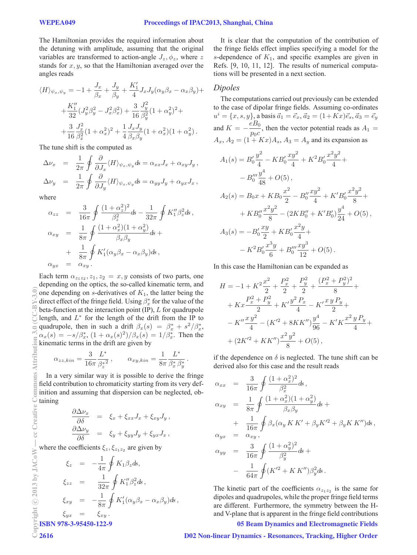The Hamiltonian provides the required information about the detuning with amplitude, assuming that the original variables are transformed to action-angle  $J_z$ ,  $\phi_z$ , where z stands for  $x, y$ , so that the Hamiltonian averaged over the angles reads

$$
\langle H \rangle_{\psi_x, \psi_y} = -1 + \frac{J_x}{\beta_x} + \frac{J_y}{\beta_y} + \frac{K'_1}{4} J_x J_y (\alpha_y \beta_x - \alpha_x \beta_y) +
$$
  
+ 
$$
\frac{K''_1}{32} (J_y^2 \beta_y^2 - J_x^2 \beta_x^2) + \frac{3}{16} \frac{J_y^2}{\beta_y^2} (1 + \alpha_y^2)^2 +
$$
  
+ 
$$
\frac{3}{16} \frac{J_x^2}{\beta_x^2} (1 + \alpha_x^2)^2 + \frac{1}{4} \frac{J_x J_y}{\beta_x \beta_y} (1 + \alpha_x^2)(1 + \alpha_y^2).
$$

The tune shift is the computed as

$$
\Delta \nu_x = \frac{1}{2\pi} \oint \frac{\partial}{\partial J_x} \langle H \rangle_{\psi_x, \psi_y} ds = \alpha_{xx} J_x + \alpha_{xy} J_y ,
$$
  

$$
\Delta \nu_y = \frac{1}{2\pi} \oint \frac{\partial}{\partial J_y} \langle H \rangle_{\psi_x, \psi_y} ds = \alpha_{yy} J_y + \alpha_{yx} J_x ,
$$

where

$$
\alpha_{zz} = \frac{3}{16\pi} \oint \frac{(1+\alpha_z^2)^2}{\beta_z^2} ds - \frac{1}{32\pi} \oint K_1'' \beta_z^2 ds,
$$
  
\n
$$
\alpha_{xy} = \frac{1}{8\pi} \oint \frac{(1+\alpha_x^2)(1+\alpha_y^2)}{\beta_x \beta_y} ds +
$$
  
\n
$$
+ \frac{1}{8\pi} \oint K_1' (\alpha_y \beta_x - \alpha_x \beta_y) ds,
$$
  
\n
$$
\alpha_{yx} = \alpha_{xy}.
$$

Each term  $\alpha_{z_1z_2}, \alpha_{z_1}, \alpha_{z_2} = x, y$  consists of two parts, one depending on the optics, the so-called kinematic term, and one depending on  $s$ -derivatives of  $K_1$ , the latter being the direct effect of the fringe field. Using  $\beta_x^*$  for the value of the beta-function at the interaction point (IP), L for quadrupole length, and  $L^*$  for the length of the drift from the IP to quadrupole, then in such a drift  $\beta_x(s) = \beta_x^* + s^2/\beta_x^*$ ,  $\alpha_x(s) = -s/\beta_x^*$ ,  $(1 + \alpha_x(s)^2)/\beta_x(s) = 1/\beta_x^*$ . Then the kinematic terms in the drift are given by

$$
\alpha_{zz,kin} = \frac{3}{16\pi} \frac{L^*}{\beta_z^*} , \qquad \alpha_{xy,kin} = \frac{1}{8\pi} \frac{L^*}{\beta_x^* \beta_y^*} .
$$

In a very similar way it is possible to derive the fringe field contribution to chromaticity starting from its very definition and assuming that dispersion can be neglected, obtaining

$$
\frac{\partial \Delta \nu_x}{\partial \delta} = \xi_x + \xi_{xx} J_x + \xi_{xy} J_y, \n\frac{\partial \Delta \nu_y}{\partial \delta} = \xi_y + \xi_{yy} J_y + \xi_{yx} J_x,
$$

where the coefficients  $\xi_z, \xi_{z_1z_2}$  are given by

 $\xi_z = -\frac{1}{4\pi}$  $\overline{a}$  $\xi_z = -\frac{1}{4\pi} \oint K_1 \beta_z ds,$  $\xi_{zz}$  =  $\frac{1}{32\pi}$  $\oint K_1'' \beta_z^2 ds$ ,  $\xi_{xy} = -\frac{1}{8\pi}$  $\overline{a}$  $K_1'(\alpha_y\beta_x-\alpha_x\beta_y)$ ds,  $\xi_{yx} = \xi_{xy}$ . ISBN 978-3-95450-122-9

It is clear that the computation of the contribution of the fringe fields effect implies specifying a model for the s-dependence of  $K_1$ , and specific examples are given in Refs. [9, 10, 11, 12]. The results of numerical computations will be presented in a next section.

## *Dipoles*

The computations carried out previously can be extended to the case of dipolar fringe fields. Assuming co-ordinates  $u^{i} = \{x, s, y\}$ , a basis  $\vec{a}_1 = \vec{e}_x$ ,  $\vec{a}_2 = (1 + Kx)\vec{e}_s$ ,  $\vec{a}_3 = \vec{e}_y$ and  $K = -\frac{eB_0}{p_0c}$ , then the vector potential reads as  $A_1 =$  $A_x$ ,  $A_2 = (1 + Kx)A_s$ ,  $A_3 = A_y$  and its expansion as

$$
A_1(s) = B'_0 \frac{y^2}{4} - KB'_0 \frac{xy^2}{4} + K^2 B'_0 \frac{x^2 y^2}{4} +
$$
  
\n
$$
- B''_0 \frac{y^4}{48} + O(5),
$$
  
\n
$$
A_2(s) = B_0 x + KB_0 \frac{x^2}{2} - B''_0 \frac{xy^2}{4} + K'B'_0 \frac{x^2 y^2}{8} +
$$
  
\n
$$
+ KB''_0 \frac{x^2 y^2}{8} - (2KB''_0 + K'B'_0) \frac{y^4}{24} + O(5),
$$
  
\n
$$
A_3(s) = -B'_0 \frac{xy}{2} + KB'_0 \frac{x^2 y}{4} +
$$
  
\n
$$
- K^2 B'_0 \frac{x^3 y}{6} + B'''_0 \frac{xy^3}{12} + O(5).
$$

In this case the Hamiltonian can be expanded as

$$
H = -1 + K^{2} \frac{x^{2}}{2} + \frac{P_{x}^{2}}{2} + \frac{P_{y}^{2}}{2} + \frac{(P_{x}^{2} + P_{y}^{2})^{2}}{8} + Kx \frac{P_{x}^{2} + P_{y}^{2}}{2} + K'\frac{y^{2} P_{x}}{4} - K'\frac{x y P_{y}}{2} +
$$
  

$$
- K'' \frac{x y^{2}}{4} - (K'^{2} + 8KK'') \frac{y^{4}}{96} - K'K \frac{x^{2} y P_{y}}{4} +
$$
  

$$
+ (2K'^{2} + KK'') \frac{x^{2} y^{2}}{8} + O(5),
$$

if the dependence on  $\delta$  is neglected. The tune shift can be derived also for this case and the result reads

$$
\alpha_{xx} = \frac{3}{16\pi} \oint \frac{(1+\alpha_x^2)^2}{\beta_x^2} ds,
$$
  
\n
$$
\alpha_{xy} = \frac{1}{8\pi} \oint \frac{(1+\alpha_x^2)(1+\alpha_y^2)}{\beta_x \beta_y} ds +
$$
  
\n
$$
+ \frac{1}{16\pi} \oint \beta_x (\alpha_y K K' + \beta_y K'^2 + \beta_y K K'') ds,
$$
  
\n
$$
\alpha_{yx} = \alpha_{xy},
$$
  
\n
$$
\alpha_{yy} = \frac{3}{16\pi} \oint \frac{(1+\alpha_y^2)^2}{\beta_y^2} ds +
$$
  
\n
$$
- \frac{1}{64\pi} \oint (K'^2 + K K'') \beta_y^2 ds.
$$

The kinetic part of the coefficients  $\alpha_{z_1z_2}$  is the same for dipoles and quadrupoles, while the proper fringe field terms are different. Furthermore, the symmetry between the Hand V-plane that is apparent in the fringe field contributions

05 Beam Dynamics and Electromagnetic Fields

D02 Non-linear Dynamics - Resonances, Tracking, Higher Order